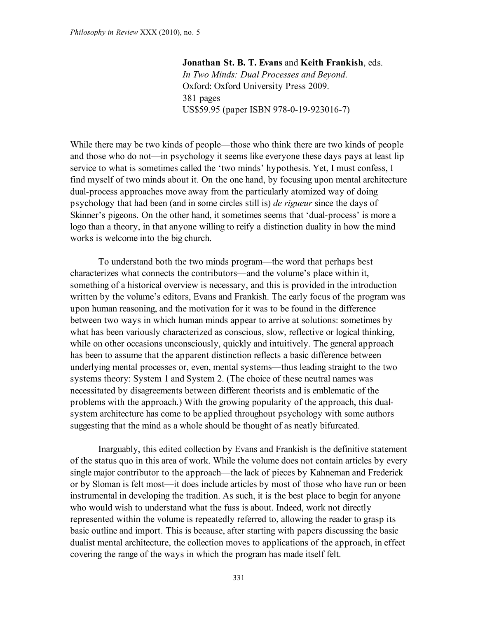**Jonathan St. B. T. Evans** and **Keith Frankish**, eds. *In Two Minds: Dual Processes and Beyond*. Oxford: Oxford University Press 2009. 381 pages US\$59.95 (paper ISBN 978-0-19-923016-7)

While there may be two kinds of people—those who think there are two kinds of people and those who do not—in psychology it seems like everyone these days pays at least lip service to what is sometimes called the 'two minds' hypothesis. Yet, I must confess, I find myself of two minds about it. On the one hand, by focusing upon mental architecture dual-process approaches move away from the particularly atomized way of doing psychology that had been (and in some circles still is) *de rigueur* since the days of Skinner's pigeons. On the other hand, it sometimes seems that 'dual-process' is more a logo than a theory, in that anyone willing to reify a distinction duality in how the mind works is welcome into the big church.

To understand both the two minds program—the word that perhaps best characterizes what connects the contributors—and the volume's place within it, something of a historical overview is necessary, and this is provided in the introduction written by the volume's editors, Evans and Frankish. The early focus of the program was upon human reasoning, and the motivation for it was to be found in the difference between two ways in which human minds appear to arrive at solutions: sometimes by what has been variously characterized as conscious, slow, reflective or logical thinking, while on other occasions unconsciously, quickly and intuitively. The general approach has been to assume that the apparent distinction reflects a basic difference between underlying mental processes or, even, mental systems—thus leading straight to the two systems theory: System 1 and System 2. (The choice of these neutral names was necessitated by disagreements between different theorists and is emblematic of the problems with the approach.) With the growing popularity of the approach, this dualsystem architecture has come to be applied throughout psychology with some authors suggesting that the mind as a whole should be thought of as neatly bifurcated.

Inarguably, this edited collection by Evans and Frankish is the definitive statement of the status quo in this area of work. While the volume does not contain articles by every single major contributor to the approach—the lack of pieces by Kahneman and Frederick or by Sloman is felt most—it does include articles by most of those who have run or been instrumental in developing the tradition. As such, it is the best place to begin for anyone who would wish to understand what the fuss is about. Indeed, work not directly represented within the volume is repeatedly referred to, allowing the reader to grasp its basic outline and import. This is because, after starting with papers discussing the basic dualist mental architecture, the collection moves to applications of the approach, in effect covering the range of the ways in which the program has made itself felt.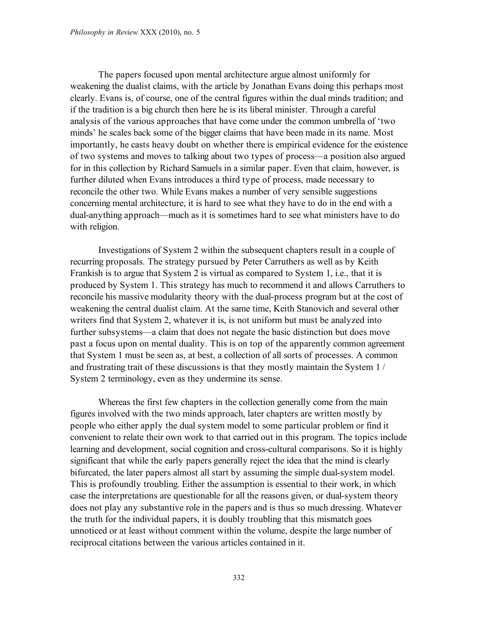The papers focused upon mental architecture argue almost uniformly for weakening the dualist claims, with the article by Jonathan Evans doing this perhaps most clearly. Evans is, of course, one of the central figures within the dual minds tradition; and if the tradition is a big church then here he is its liberal minister. Through a careful analysis of the various approaches that have come under the common umbrella of 'two minds' he scales back some of the bigger claims that have been made in its name. Most importantly, he casts heavy doubt on whether there is empirical evidence for the existence of two systems and moves to talking about two types of process—a position also argued for in this collection by Richard Samuels in a similar paper. Even that claim, however, is further diluted when Evans introduces a third type of process, made necessary to reconcile the other two. While Evans makes a number of very sensible suggestions concerning mental architecture, it is hard to see what they have to do in the end with a dual-anything approach—much as it is sometimes hard to see what ministers have to do with religion.

Investigations of System 2 within the subsequent chapters result in a couple of recurring proposals. The strategy pursued by Peter Carruthers as well as by Keith Frankish is to argue that System 2 is virtual as compared to System 1, i.e., that it is produced by System 1. This strategy has much to recommend it and allows Carruthers to reconcile his massive modularity theory with the dual-process program but at the cost of weakening the central dualist claim. At the same time, Keith Stanovich and several other writers find that System 2, whatever it is, is not uniform but must be analyzed into further subsystems—a claim that does not negate the basic distinction but does move past a focus upon on mental duality. This is on top of the apparently common agreement that System 1 must be seen as, at best, a collection of all sorts of processes. A common and frustrating trait of these discussions is that they mostly maintain the System 1 / System 2 terminology, even as they undermine its sense.

Whereas the first few chapters in the collection generally come from the main figures involved with the two minds approach, later chapters are written mostly by people who either apply the dual system model to some particular problem or find it convenient to relate their own work to that carried out in this program. The topics include learning and development, social cognition and cross-cultural comparisons. So it is highly significant that while the early papers generally reject the idea that the mind is clearly bifurcated, the later papers almost all start by assuming the simple dual-system model. This is profoundly troubling. Either the assumption is essential to their work, in which case the interpretations are questionable for all the reasons given, or dual-system theory does not play any substantive role in the papers and is thus so much dressing. Whatever the truth for the individual papers, it is doubly troubling that this mismatch goes unnoticed or at least without comment within the volume, despite the large number of reciprocal citations between the various articles contained in it.